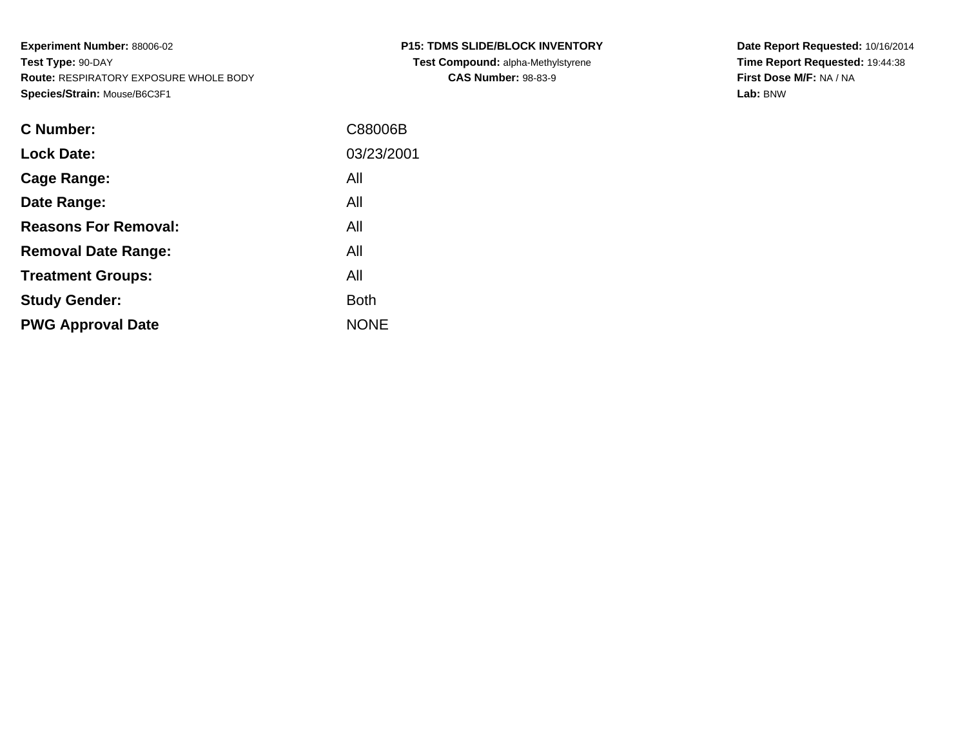| <b>P15: TDMS SLIDE/BLOCK INVENTORY</b>    |  |  |  |  |  |  |  |
|-------------------------------------------|--|--|--|--|--|--|--|
| <b>Test Compound: alpha-Methylstyrene</b> |  |  |  |  |  |  |  |
| <b>CAS Number: 98-83-9</b>                |  |  |  |  |  |  |  |

**Date Report Requested:** 10/16/2014 **Time Report Requested:** 19:44:38**First Dose M/F:** NA / NA**Lab:** BNW

| C Number:                   | C88006B     |
|-----------------------------|-------------|
| <b>Lock Date:</b>           | 03/23/2001  |
| Cage Range:                 | All         |
| Date Range:                 | All         |
| <b>Reasons For Removal:</b> | All         |
| <b>Removal Date Range:</b>  | All         |
| <b>Treatment Groups:</b>    | All         |
| <b>Study Gender:</b>        | <b>Both</b> |
| <b>PWG Approval Date</b>    | <b>NONE</b> |
|                             |             |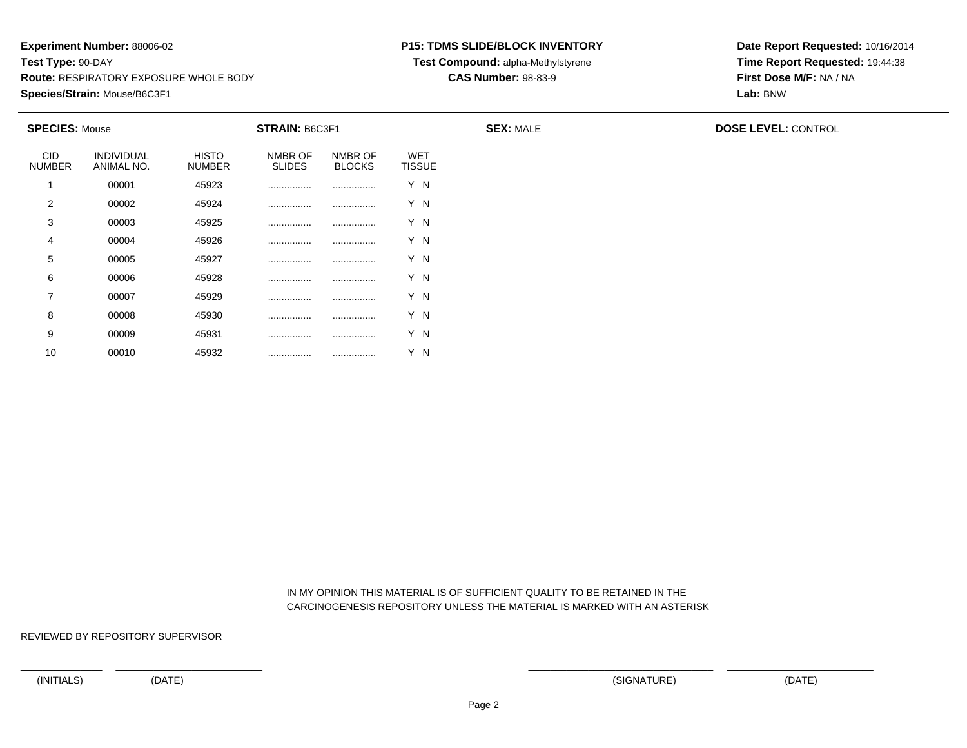#### **P15: TDMS SLIDE/BLOCK INVENTORY**

**Test Compound:** alpha-Methylstyrene

### **CAS Number:** 98-83-9

**Date Report Requested:** 10/16/2014**Time Report Requested:** 19:44:38**First Dose M/F:** NA / NA**Lab:** BNW

| <b>SPECIES: Mouse</b>       |                                 |                               | <b>STRAIN: B6C3F1</b>    |                          |                             | <b>SEX: MALE</b> | <b>DOSE LEVEL: CONTROL</b> |  |
|-----------------------------|---------------------------------|-------------------------------|--------------------------|--------------------------|-----------------------------|------------------|----------------------------|--|
| <b>CID</b><br><b>NUMBER</b> | <b>INDIVIDUAL</b><br>ANIMAL NO. | <b>HISTO</b><br><b>NUMBER</b> | NMBR OF<br><b>SLIDES</b> | NMBR OF<br><b>BLOCKS</b> | <b>WET</b><br><b>TISSUE</b> |                  |                            |  |
|                             | 00001                           | 45923                         |                          |                          | Y N                         |                  |                            |  |
| 2                           | 00002                           | 45924                         |                          |                          | Y N                         |                  |                            |  |
| 3                           | 00003                           | 45925                         |                          |                          | Y N                         |                  |                            |  |
| 4                           | 00004                           | 45926                         |                          |                          | Y N                         |                  |                            |  |
| 5                           | 00005                           | 45927                         |                          |                          | Y N                         |                  |                            |  |
| 6                           | 00006                           | 45928                         |                          |                          | Y N                         |                  |                            |  |
| 7                           | 00007                           | 45929                         |                          |                          | Y N                         |                  |                            |  |
| 8                           | 00008                           | 45930                         |                          |                          | Y N                         |                  |                            |  |
| 9                           | 00009                           | 45931                         |                          |                          | Y N                         |                  |                            |  |
| 10                          | 00010                           | 45932                         |                          |                          | Y N                         |                  |                            |  |

 IN MY OPINION THIS MATERIAL IS OF SUFFICIENT QUALITY TO BE RETAINED IN THECARCINOGENESIS REPOSITORY UNLESS THE MATERIAL IS MARKED WITH AN ASTERISK

REVIEWED BY REPOSITORY SUPERVISOR

<sup>00010</sup> <sup>45932</sup> ................ ................ Y N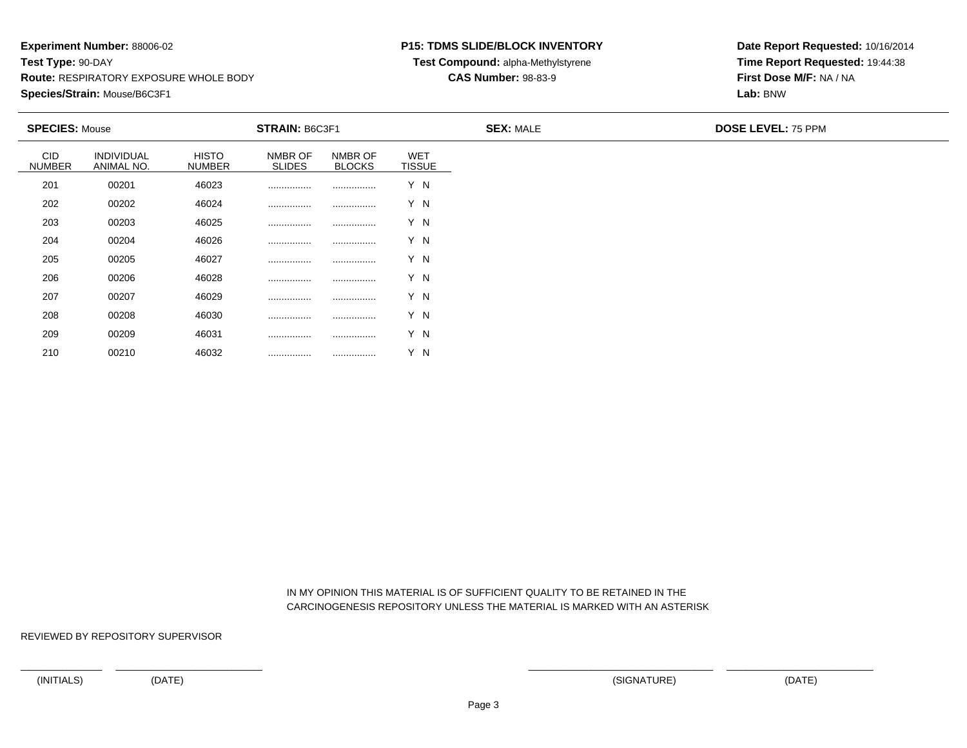### **P15: TDMS SLIDE/BLOCK INVENTORY**

**Test Compound:** alpha-Methylstyrene

### **CAS Number:** 98-83-9

**Date Report Requested:** 10/16/2014**Time Report Requested:** 19:44:38**First Dose M/F:** NA / NA**Lab:** BNW

| <b>SPECIES: Mouse</b>       |                          |                               | STRAIN: B6C3F1           |                          |                             | <b>SEX: MALE</b> | <b>DOSE LEVEL: 75 PPM</b> |
|-----------------------------|--------------------------|-------------------------------|--------------------------|--------------------------|-----------------------------|------------------|---------------------------|
| <b>CID</b><br><b>NUMBER</b> | INDIVIDUAL<br>ANIMAL NO. | <b>HISTO</b><br><b>NUMBER</b> | NMBR OF<br><b>SLIDES</b> | NMBR OF<br><b>BLOCKS</b> | <b>WET</b><br><b>TISSUE</b> |                  |                           |
| 201                         | 00201                    | 46023                         |                          |                          | Y N                         |                  |                           |
| 202                         | 00202                    | 46024                         |                          |                          | Y N                         |                  |                           |
| 203                         | 00203                    | 46025                         |                          |                          | Y N                         |                  |                           |
| 204                         | 00204                    | 46026                         |                          |                          | Y N                         |                  |                           |
| 205                         | 00205                    | 46027                         |                          |                          | Y N                         |                  |                           |
| 206                         | 00206                    | 46028                         |                          |                          | Y N                         |                  |                           |
| 207                         | 00207                    | 46029                         |                          |                          | Y N                         |                  |                           |
| 208                         | 00208                    | 46030                         |                          |                          | Y N                         |                  |                           |
| 209                         | 00209                    | 46031                         |                          |                          | Y N                         |                  |                           |
| 210                         | 00210                    | 46032                         |                          |                          | Y N                         |                  |                           |

 IN MY OPINION THIS MATERIAL IS OF SUFFICIENT QUALITY TO BE RETAINED IN THECARCINOGENESIS REPOSITORY UNLESS THE MATERIAL IS MARKED WITH AN ASTERISK

REVIEWED BY REPOSITORY SUPERVISOR

<sup>00210</sup> <sup>46032</sup> ................ ................ Y N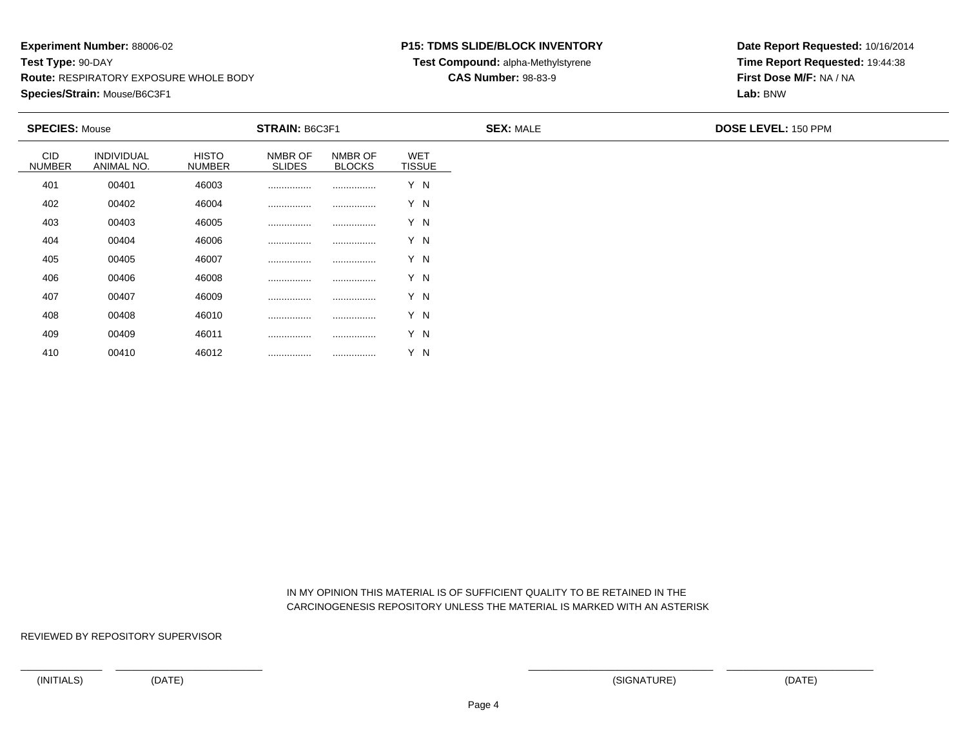### **P15: TDMS SLIDE/BLOCK INVENTORY**

**Test Compound:** alpha-Methylstyrene

### **CAS Number:** 98-83-9

**Date Report Requested:** 10/16/2014**Time Report Requested:** 19:44:38**First Dose M/F:** NA / NA**Lab:** BNW

| <b>SPECIES: Mouse</b>       |                          |                               | STRAIN: B6C3F1           |                          |                             | <b>SEX: MALE</b> | <b>DOSE LEVEL: 150 PPM</b> |
|-----------------------------|--------------------------|-------------------------------|--------------------------|--------------------------|-----------------------------|------------------|----------------------------|
| <b>CID</b><br><b>NUMBER</b> | INDIVIDUAL<br>ANIMAL NO. | <b>HISTO</b><br><b>NUMBER</b> | NMBR OF<br><b>SLIDES</b> | NMBR OF<br><b>BLOCKS</b> | <b>WET</b><br><b>TISSUE</b> |                  |                            |
| 401                         | 00401                    | 46003                         |                          |                          | Y N                         |                  |                            |
| 402                         | 00402                    | 46004                         |                          |                          | Y N                         |                  |                            |
| 403                         | 00403                    | 46005                         |                          |                          | Y N                         |                  |                            |
| 404                         | 00404                    | 46006                         |                          |                          | Y N                         |                  |                            |
| 405                         | 00405                    | 46007                         |                          |                          | Y N                         |                  |                            |
| 406                         | 00406                    | 46008                         |                          |                          | Y N                         |                  |                            |
| 407                         | 00407                    | 46009                         |                          |                          | Y N                         |                  |                            |
| 408                         | 00408                    | 46010                         |                          |                          | Y N                         |                  |                            |
| 409                         | 00409                    | 46011                         |                          |                          | Y N                         |                  |                            |
| 410                         | 00410                    | 46012                         |                          |                          | Y N                         |                  |                            |

 IN MY OPINION THIS MATERIAL IS OF SUFFICIENT QUALITY TO BE RETAINED IN THECARCINOGENESIS REPOSITORY UNLESS THE MATERIAL IS MARKED WITH AN ASTERISK

REVIEWED BY REPOSITORY SUPERVISOR

<sup>00410</sup> <sup>46012</sup> ................ ................ Y N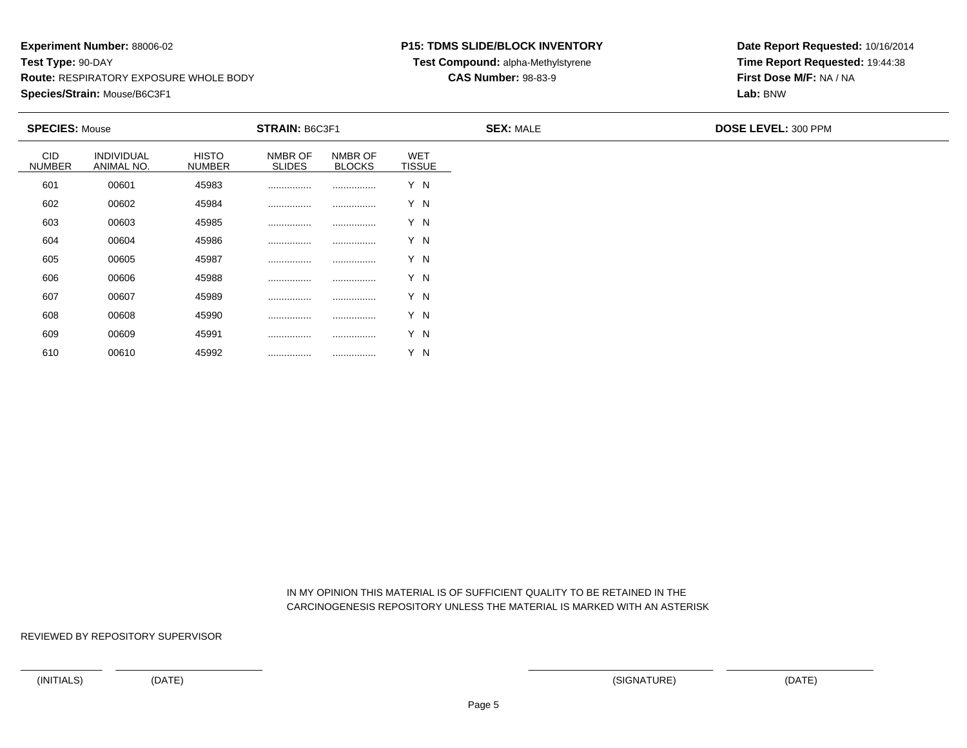<sup>00610</sup> <sup>45992</sup> ................ ................ Y N

### **P15: TDMS SLIDE/BLOCK INVENTORY**

**Test Compound:** alpha-Methylstyrene

**CAS Number:** 98-83-9

**Date Report Requested:** 10/16/2014**Time Report Requested:** 19:44:38**First Dose M/F:** NA / NA**Lab:** BNW

| <b>SPECIES: Mouse</b>       |                                 |                               | <b>STRAIN: B6C3F1</b>    |                          |                             | <b>SEX: MALE</b> | <b>DOSE LEVEL: 300 PPM</b> |  |
|-----------------------------|---------------------------------|-------------------------------|--------------------------|--------------------------|-----------------------------|------------------|----------------------------|--|
| <b>CID</b><br><b>NUMBER</b> | <b>INDIVIDUAL</b><br>ANIMAL NO. | <b>HISTO</b><br><b>NUMBER</b> | NMBR OF<br><b>SLIDES</b> | NMBR OF<br><b>BLOCKS</b> | <b>WET</b><br><b>TISSUE</b> |                  |                            |  |
| 601                         | 00601                           | 45983                         |                          |                          | Y N                         |                  |                            |  |
| 602                         | 00602                           | 45984                         |                          |                          | Y N                         |                  |                            |  |
| 603                         | 00603                           | 45985                         |                          |                          | Y N                         |                  |                            |  |
| 604                         | 00604                           | 45986                         |                          |                          | Y N                         |                  |                            |  |
| 605                         | 00605                           | 45987                         |                          |                          | Y N                         |                  |                            |  |
| 606                         | 00606                           | 45988                         |                          |                          | Y N                         |                  |                            |  |
| 607                         | 00607                           | 45989                         |                          |                          | Y N                         |                  |                            |  |
| 608                         | 00608                           | 45990                         |                          |                          | Y N                         |                  |                            |  |
| 609                         | 00609                           | 45991                         |                          |                          | Y N                         |                  |                            |  |
| 610                         | 00610                           | 45992                         |                          |                          | Y N                         |                  |                            |  |

 IN MY OPINION THIS MATERIAL IS OF SUFFICIENT QUALITY TO BE RETAINED IN THECARCINOGENESIS REPOSITORY UNLESS THE MATERIAL IS MARKED WITH AN ASTERISK

REVIEWED BY REPOSITORY SUPERVISOR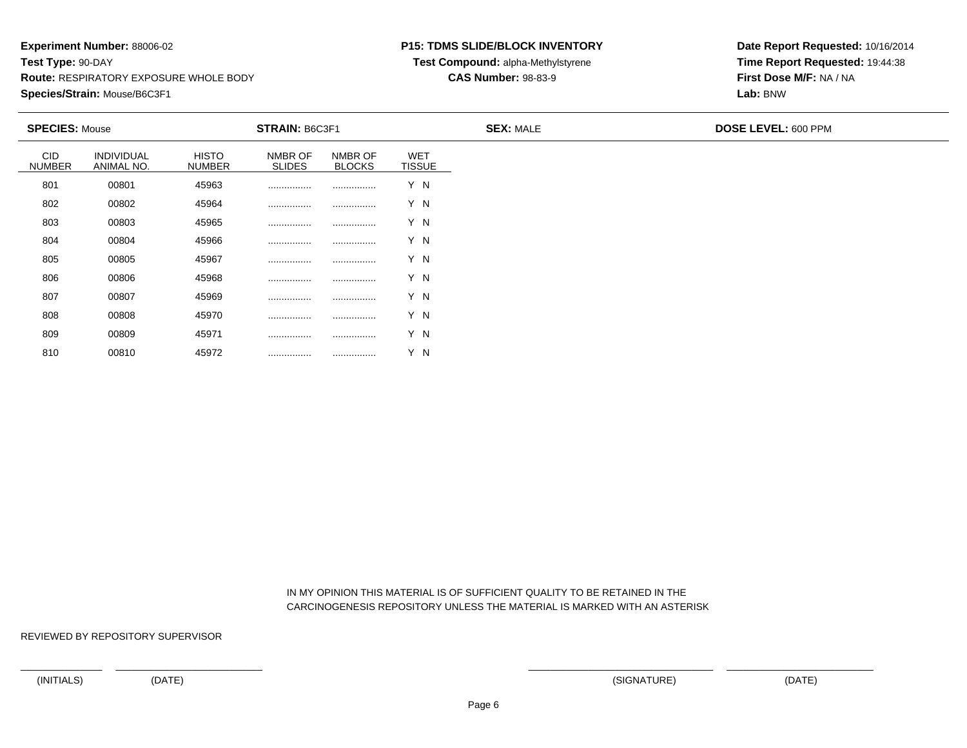#### **P15: TDMS SLIDE/BLOCK INVENTORY**

**Test Compound:** alpha-Methylstyrene

**CAS Number:** 98-83-9

**Date Report Requested:** 10/16/2014**Time Report Requested:** 19:44:38**First Dose M/F:** NA / NA**Lab:** BNW

| <b>SPECIES: Mouse</b>       |                          |                               | STRAIN: B6C3F1           |                          |                             | <b>SEX: MALE</b> | <b>DOSE LEVEL: 600 PPM</b> |
|-----------------------------|--------------------------|-------------------------------|--------------------------|--------------------------|-----------------------------|------------------|----------------------------|
| <b>CID</b><br><b>NUMBER</b> | INDIVIDUAL<br>ANIMAL NO. | <b>HISTO</b><br><b>NUMBER</b> | NMBR OF<br><b>SLIDES</b> | NMBR OF<br><b>BLOCKS</b> | <b>WET</b><br><b>TISSUE</b> |                  |                            |
| 801                         | 00801                    | 45963                         |                          |                          | Y N                         |                  |                            |
| 802                         | 00802                    | 45964                         |                          |                          | Y N                         |                  |                            |
| 803                         | 00803                    | 45965                         |                          |                          | Y N                         |                  |                            |
| 804                         | 00804                    | 45966                         |                          |                          | Y N                         |                  |                            |
| 805                         | 00805                    | 45967                         |                          |                          | Y N                         |                  |                            |
| 806                         | 00806                    | 45968                         |                          |                          | Y N                         |                  |                            |
| 807                         | 00807                    | 45969                         |                          |                          | Y N                         |                  |                            |
| 808                         | 00808                    | 45970                         |                          |                          | Y N                         |                  |                            |
| 809                         | 00809                    | 45971                         |                          |                          | Y N                         |                  |                            |
| 810                         | 00810                    | 45972                         |                          |                          | Y N                         |                  |                            |

 IN MY OPINION THIS MATERIAL IS OF SUFFICIENT QUALITY TO BE RETAINED IN THECARCINOGENESIS REPOSITORY UNLESS THE MATERIAL IS MARKED WITH AN ASTERISK

REVIEWED BY REPOSITORY SUPERVISOR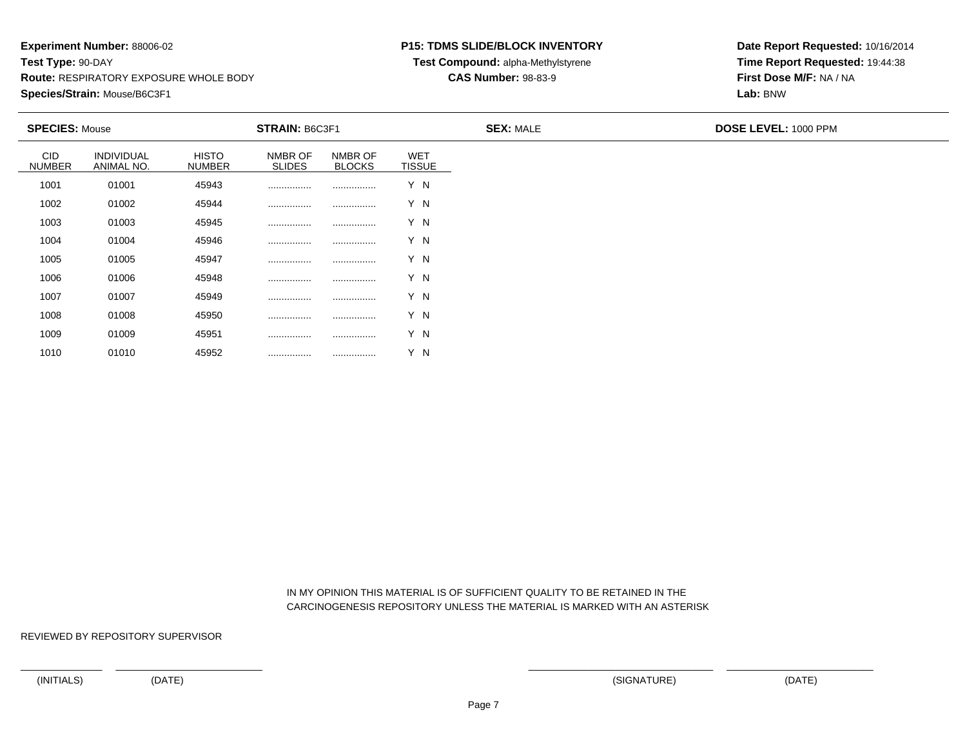<sup>01010</sup> <sup>45952</sup> ................ ................ Y N

### **P15: TDMS SLIDE/BLOCK INVENTORY**

**Test Compound:** alpha-Methylstyrene

**CAS Number:** 98-83-9

**Date Report Requested:** 10/16/2014**Time Report Requested:** 19:44:38**First Dose M/F:** NA / NA**Lab:** BNW

| <b>SPECIES: Mouse</b>       |                          | <b>STRAIN: B6C3F1</b><br><b>SEX: MALE</b> |                          |                          |                             | <b>DOSE LEVEL: 1000 PPM</b> |
|-----------------------------|--------------------------|-------------------------------------------|--------------------------|--------------------------|-----------------------------|-----------------------------|
| <b>CID</b><br><b>NUMBER</b> | INDIVIDUAL<br>ANIMAL NO. | <b>HISTO</b><br><b>NUMBER</b>             | NMBR OF<br><b>SLIDES</b> | NMBR OF<br><b>BLOCKS</b> | <b>WET</b><br><b>TISSUE</b> |                             |
| 1001                        | 01001                    | 45943                                     |                          |                          | Y N                         |                             |
| 1002                        | 01002                    | 45944                                     |                          |                          | Y N                         |                             |
| 1003                        | 01003                    | 45945                                     |                          |                          | Y N                         |                             |
| 1004                        | 01004                    | 45946                                     |                          |                          | Y N                         |                             |
| 1005                        | 01005                    | 45947                                     | .                        |                          | Y N                         |                             |
| 1006                        | 01006                    | 45948                                     | .                        |                          | Y N                         |                             |
| 1007                        | 01007                    | 45949                                     | .                        |                          | Y N                         |                             |
| 1008                        | 01008                    | 45950                                     | .                        |                          | Y N                         |                             |
| 1009                        | 01009                    | 45951                                     |                          |                          | Y N                         |                             |

 IN MY OPINION THIS MATERIAL IS OF SUFFICIENT QUALITY TO BE RETAINED IN THECARCINOGENESIS REPOSITORY UNLESS THE MATERIAL IS MARKED WITH AN ASTERISK

REVIEWED BY REPOSITORY SUPERVISOR

1010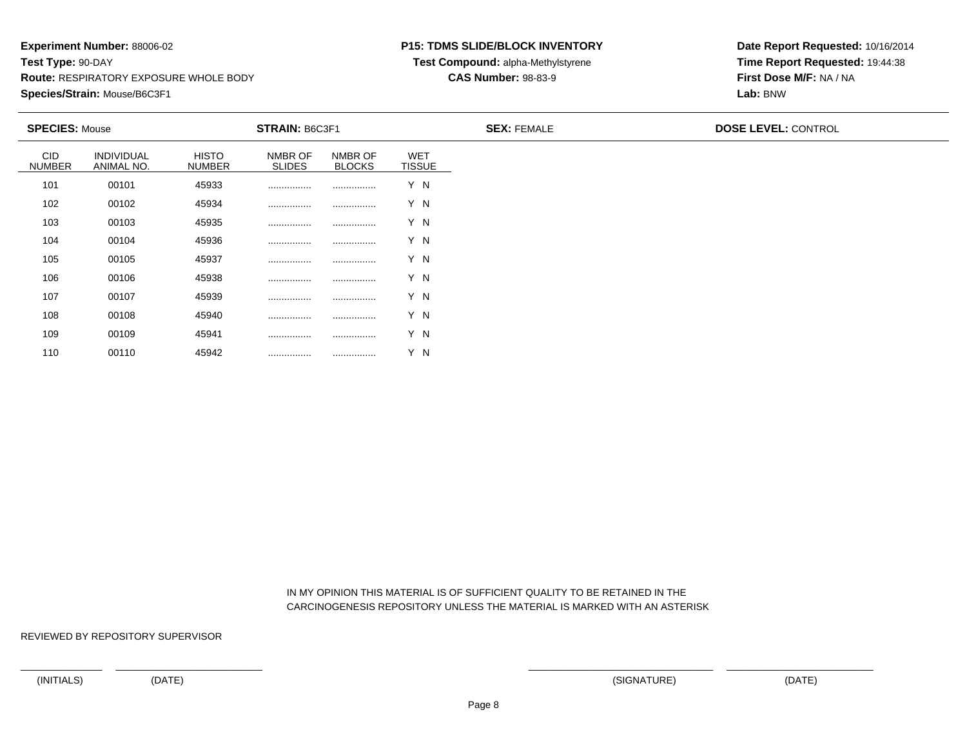<sup>00110</sup> <sup>45942</sup> ................ ................ Y N

#### **P15: TDMS SLIDE/BLOCK INVENTORY**

**Test Compound:** alpha-Methylstyrene

**CAS Number:** 98-83-9

**Date Report Requested:** 10/16/2014**Time Report Requested:** 19:44:38**First Dose M/F:** NA / NA**Lab:** BNW

| <b>SPECIES: Mouse</b>       |                          |                        | <b>STRAIN: B6C3F1</b>    |                          |                             | <b>SEX: FEMALE</b> | <b>DOSE LEVEL: CONTROL</b> |
|-----------------------------|--------------------------|------------------------|--------------------------|--------------------------|-----------------------------|--------------------|----------------------------|
| <b>CID</b><br><b>NUMBER</b> | INDIVIDUAL<br>ANIMAL NO. | HISTO<br><b>NUMBER</b> | NMBR OF<br><b>SLIDES</b> | NMBR OF<br><b>BLOCKS</b> | <b>WET</b><br><b>TISSUE</b> |                    |                            |
| 101                         | 00101                    | 45933                  |                          |                          | Y N                         |                    |                            |
| 102                         | 00102                    | 45934                  |                          |                          | Y N                         |                    |                            |
| 103                         | 00103                    | 45935                  |                          |                          | Y N                         |                    |                            |
| 104                         | 00104                    | 45936                  |                          |                          | Y N                         |                    |                            |
| 105                         | 00105                    | 45937                  |                          |                          | Y N                         |                    |                            |
| 106                         | 00106                    | 45938                  |                          |                          | Y N                         |                    |                            |
| 107                         | 00107                    | 45939                  |                          |                          | Y N                         |                    |                            |
| 108                         | 00108                    | 45940                  |                          |                          | Y N                         |                    |                            |
| 109                         | 00109                    | 45941                  |                          |                          | Y N                         |                    |                            |

 IN MY OPINION THIS MATERIAL IS OF SUFFICIENT QUALITY TO BE RETAINED IN THECARCINOGENESIS REPOSITORY UNLESS THE MATERIAL IS MARKED WITH AN ASTERISK

REVIEWED BY REPOSITORY SUPERVISOR

110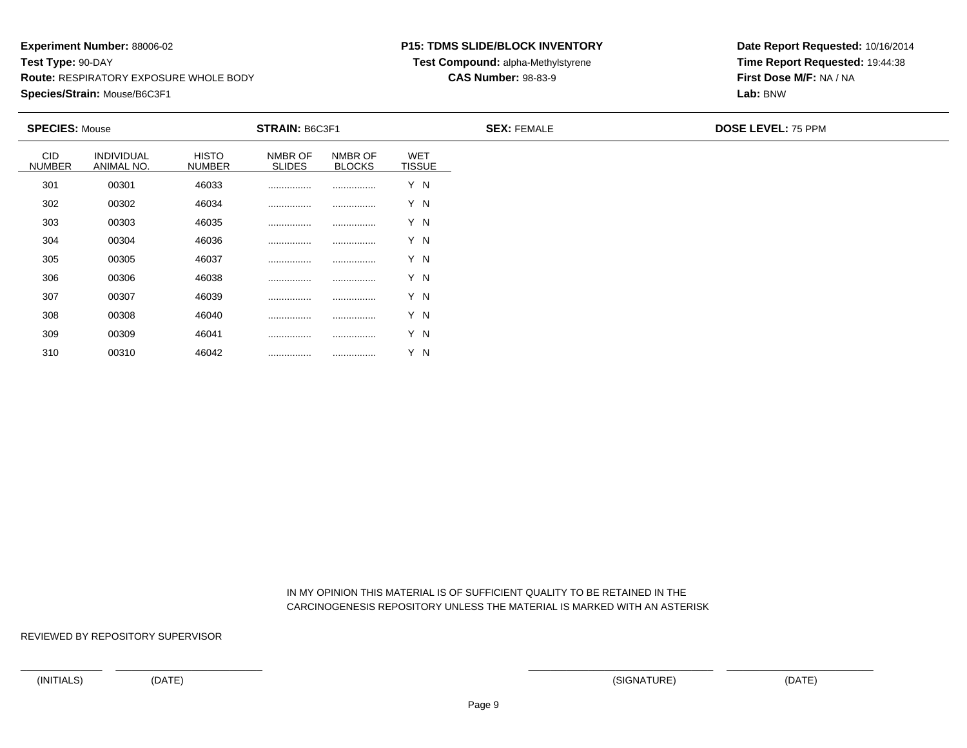#### **P15: TDMS SLIDE/BLOCK INVENTORY**

**Test Compound:** alpha-Methylstyrene

### **CAS Number:** 98-83-9

**Date Report Requested:** 10/16/2014**Time Report Requested:** 19:44:38**First Dose M/F:** NA / NA**Lab:** BNW

| <b>SPECIES: Mouse</b>       |                          |                               | STRAIN: B6C3F1           |                          |                             | <b>SEX: FEMALE</b> | <b>DOSE LEVEL: 75 PPM</b> |
|-----------------------------|--------------------------|-------------------------------|--------------------------|--------------------------|-----------------------------|--------------------|---------------------------|
| <b>CID</b><br><b>NUMBER</b> | INDIVIDUAL<br>ANIMAL NO. | <b>HISTO</b><br><b>NUMBER</b> | NMBR OF<br><b>SLIDES</b> | NMBR OF<br><b>BLOCKS</b> | <b>WET</b><br><b>TISSUE</b> |                    |                           |
| 301                         | 00301                    | 46033                         |                          |                          | Y N                         |                    |                           |
| 302                         | 00302                    | 46034                         | .                        |                          | Y N                         |                    |                           |
| 303                         | 00303                    | 46035                         | .                        |                          | Y N                         |                    |                           |
| 304                         | 00304                    | 46036                         |                          |                          | Y N                         |                    |                           |
| 305                         | 00305                    | 46037                         | .                        |                          | Y N                         |                    |                           |
| 306                         | 00306                    | 46038                         |                          |                          | Y N                         |                    |                           |
| 307                         | 00307                    | 46039                         |                          |                          | Y N                         |                    |                           |
| 308                         | 00308                    | 46040                         |                          |                          | Y N                         |                    |                           |
| 309                         | 00309                    | 46041                         |                          |                          | Y N                         |                    |                           |
| 310                         | 00310                    | 46042                         | .                        |                          | Y N                         |                    |                           |

 IN MY OPINION THIS MATERIAL IS OF SUFFICIENT QUALITY TO BE RETAINED IN THECARCINOGENESIS REPOSITORY UNLESS THE MATERIAL IS MARKED WITH AN ASTERISK

REVIEWED BY REPOSITORY SUPERVISOR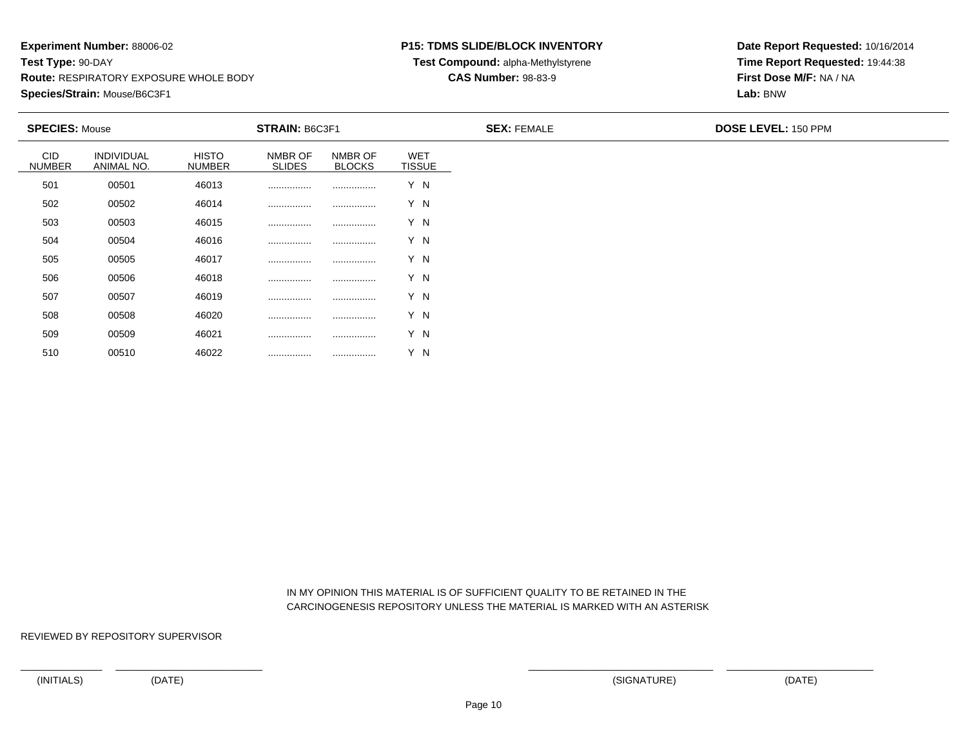### **P15: TDMS SLIDE/BLOCK INVENTORY**

**Test Compound:** alpha-Methylstyrene

**CAS Number:** 98-83-9

**Date Report Requested:** 10/16/2014**Time Report Requested:** 19:44:38**First Dose M/F:** NA / NA**Lab:** BNW

| <b>SPECIES: Mouse</b>       |                          |                               | <b>STRAIN: B6C3F1</b>    |                          |                             | <b>SEX: FEMALE</b> | <b>DOSE LEVEL: 150 PPM</b> |
|-----------------------------|--------------------------|-------------------------------|--------------------------|--------------------------|-----------------------------|--------------------|----------------------------|
| <b>CID</b><br><b>NUMBER</b> | INDIVIDUAL<br>ANIMAL NO. | <b>HISTO</b><br><b>NUMBER</b> | NMBR OF<br><b>SLIDES</b> | NMBR OF<br><b>BLOCKS</b> | <b>WET</b><br><b>TISSUE</b> |                    |                            |
| 501                         | 00501                    | 46013                         |                          |                          | Y N                         |                    |                            |
| 502                         | 00502                    | 46014                         |                          |                          | Y N                         |                    |                            |
| 503                         | 00503                    | 46015                         |                          |                          | Y N                         |                    |                            |
| 504                         | 00504                    | 46016                         |                          |                          | Y N                         |                    |                            |
| 505                         | 00505                    | 46017                         |                          |                          | Y N                         |                    |                            |
| 506                         | 00506                    | 46018                         |                          |                          | Y N                         |                    |                            |
| 507                         | 00507                    | 46019                         |                          |                          | Y N                         |                    |                            |
| 508                         | 00508                    | 46020                         |                          |                          | Y N                         |                    |                            |
| 509                         | 00509                    | 46021                         |                          |                          | Y N                         |                    |                            |

 IN MY OPINION THIS MATERIAL IS OF SUFFICIENT QUALITY TO BE RETAINED IN THECARCINOGENESIS REPOSITORY UNLESS THE MATERIAL IS MARKED WITH AN ASTERISK

REVIEWED BY REPOSITORY SUPERVISOR

510

<sup>00510</sup> <sup>46022</sup> ................ ................ Y N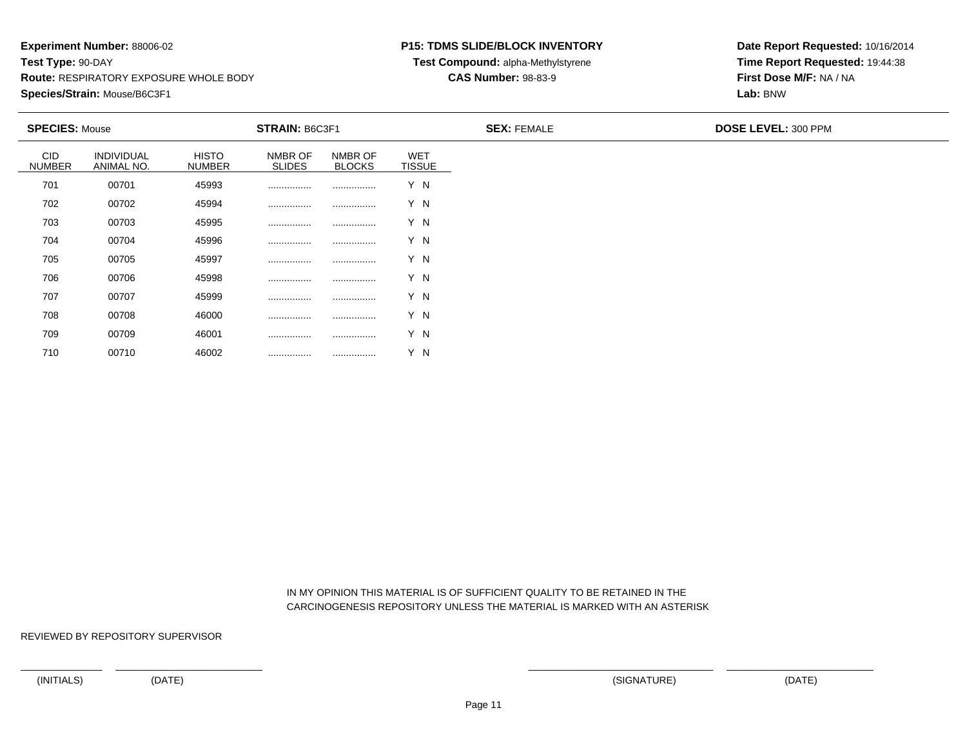### **P15: TDMS SLIDE/BLOCK INVENTORY**

**Test Compound:** alpha-Methylstyrene

**CAS Number:** 98-83-9

**Date Report Requested:** 10/16/2014**Time Report Requested:** 19:44:38**First Dose M/F:** NA / NA**Lab:** BNW

| <b>SPECIES: Mouse</b>       |                          |                               | <b>STRAIN: B6C3F1</b>    |                          |                             | <b>SEX: FEMALE</b> | DOSE LEVEL: 300 PPM |
|-----------------------------|--------------------------|-------------------------------|--------------------------|--------------------------|-----------------------------|--------------------|---------------------|
| <b>CID</b><br><b>NUMBER</b> | INDIVIDUAL<br>ANIMAL NO. | <b>HISTO</b><br><b>NUMBER</b> | NMBR OF<br><b>SLIDES</b> | NMBR OF<br><b>BLOCKS</b> | <b>WET</b><br><b>TISSUE</b> |                    |                     |
| 701                         | 00701                    | 45993                         |                          |                          | Y N                         |                    |                     |
| 702                         | 00702                    | 45994                         |                          |                          | Y N                         |                    |                     |
| 703                         | 00703                    | 45995                         |                          |                          | Y N                         |                    |                     |
| 704                         | 00704                    | 45996                         |                          |                          | Y N                         |                    |                     |
| 705                         | 00705                    | 45997                         |                          |                          | Y N                         |                    |                     |
| 706                         | 00706                    | 45998                         |                          |                          | Y N                         |                    |                     |
| 707                         | 00707                    | 45999                         |                          |                          | Y N                         |                    |                     |
| 708                         | 00708                    | 46000                         | .                        |                          | Y N                         |                    |                     |
| 709                         | 00709                    | 46001                         |                          |                          | Y N                         |                    |                     |

 IN MY OPINION THIS MATERIAL IS OF SUFFICIENT QUALITY TO BE RETAINED IN THECARCINOGENESIS REPOSITORY UNLESS THE MATERIAL IS MARKED WITH AN ASTERISK

REVIEWED BY REPOSITORY SUPERVISOR

710

<sup>00710</sup> <sup>46002</sup> ................ ................ Y N

(INITIALS) (DATE) (SIGNATURE) (DATE)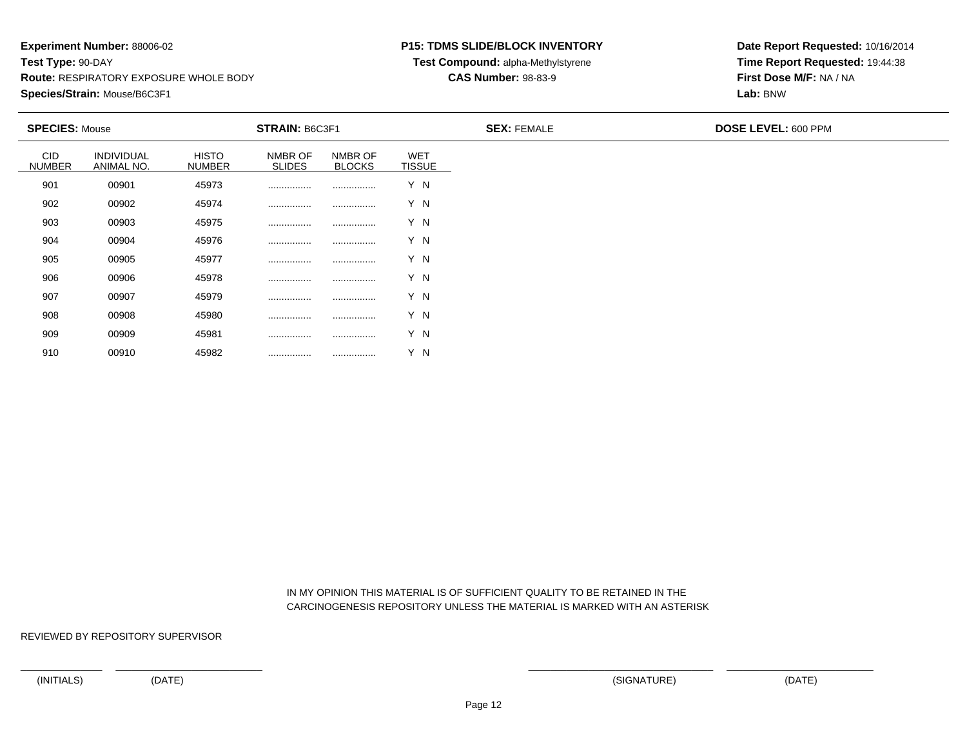### **P15: TDMS SLIDE/BLOCK INVENTORY**

**Test Compound:** alpha-Methylstyrene

**CAS Number:** 98-83-9

**Date Report Requested:** 10/16/2014**Time Report Requested:** 19:44:38**First Dose M/F:** NA / NA**Lab:** BNW

| <b>SPECIES: Mouse</b>       |                                 | <b>STRAIN: B6C3F1</b>         |                          |                          |                             | <b>SEX: FEMALE</b> | <b>DOSE LEVEL: 600 PPM</b> |
|-----------------------------|---------------------------------|-------------------------------|--------------------------|--------------------------|-----------------------------|--------------------|----------------------------|
| <b>CID</b><br><b>NUMBER</b> | <b>INDIVIDUAL</b><br>ANIMAL NO. | <b>HISTO</b><br><b>NUMBER</b> | NMBR OF<br><b>SLIDES</b> | NMBR OF<br><b>BLOCKS</b> | <b>WET</b><br><b>TISSUE</b> |                    |                            |
| 901                         | 00901                           | 45973                         |                          |                          | Y N                         |                    |                            |
| 902                         | 00902                           | 45974                         |                          |                          | Y N                         |                    |                            |
| 903                         | 00903                           | 45975                         |                          |                          | Y N                         |                    |                            |
| 904                         | 00904                           | 45976                         |                          |                          | Y N                         |                    |                            |
| 905                         | 00905                           | 45977                         |                          |                          | Y N                         |                    |                            |
| 906                         | 00906                           | 45978                         |                          |                          | Y N                         |                    |                            |
| 907                         | 00907                           | 45979                         |                          |                          | Y N                         |                    |                            |
| 908                         | 00908                           | 45980                         |                          |                          | Y N                         |                    |                            |
| 909                         | 00909                           | 45981                         |                          |                          | Y N                         |                    |                            |
| 910                         | 00910                           | 45982                         |                          |                          | Y N                         |                    |                            |

 IN MY OPINION THIS MATERIAL IS OF SUFFICIENT QUALITY TO BE RETAINED IN THECARCINOGENESIS REPOSITORY UNLESS THE MATERIAL IS MARKED WITH AN ASTERISK

REVIEWED BY REPOSITORY SUPERVISOR